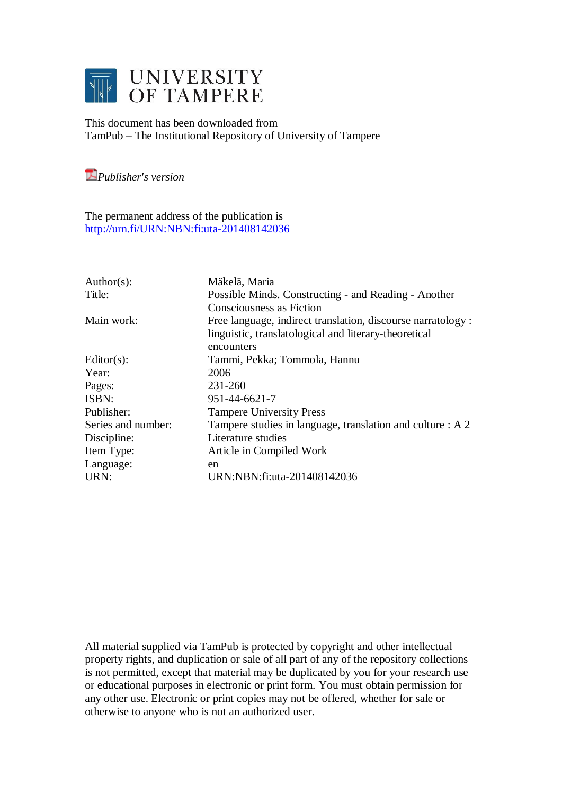

This document has been downloaded from TamPub – The Institutional Repository of University of Tampere

*Publisher's version* 

The permanent address of the publication is <http://urn.fi/URN:NBN:fi:uta-201408142036>

| Mäkelä, Maria                                                |
|--------------------------------------------------------------|
| Possible Minds. Constructing - and Reading - Another         |
| Consciousness as Fiction                                     |
| Free language, indirect translation, discourse narratology : |
| linguistic, translatological and literary-theoretical        |
| encounters                                                   |
| Tammi, Pekka; Tommola, Hannu                                 |
| 2006                                                         |
| 231-260                                                      |
| 951-44-6621-7                                                |
| <b>Tampere University Press</b>                              |
| Tampere studies in language, translation and culture : A 2   |
| Literature studies                                           |
| Article in Compiled Work                                     |
| en                                                           |
| URN:NBN:fi:uta-201408142036                                  |
|                                                              |

All material supplied via TamPub is protected by copyright and other intellectual property rights, and duplication or sale of all part of any of the repository collections is not permitted, except that material may be duplicated by you for your research use or educational purposes in electronic or print form. You must obtain permission for any other use. Electronic or print copies may not be offered, whether for sale or otherwise to anyone who is not an authorized user.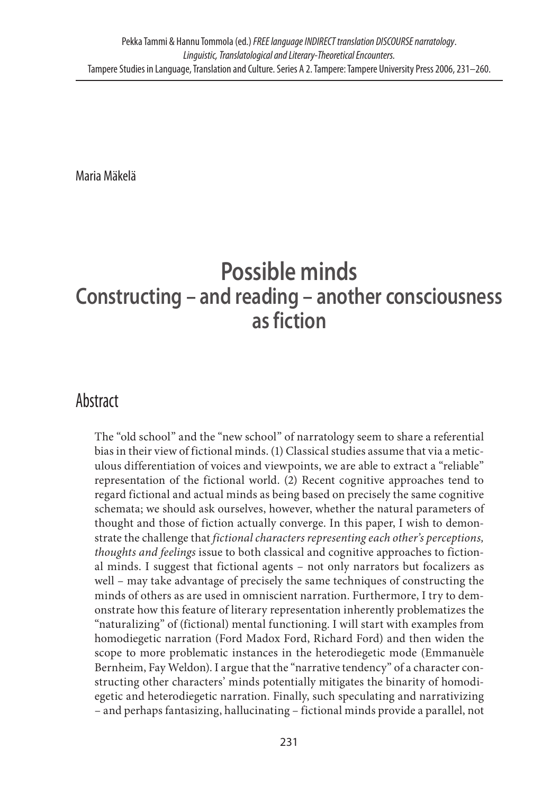Maria Mäkelä

# **Possible minds Constructing – and reading – another consciousness as fiction**

### Abstract

The "old school" and the "new school" of narratology seem to share a referential bias in their view of fictional minds. (1) Classical studies assume that via a meticulous differentiation of voices and viewpoints, we are able to extract a "reliable" representation of the fictional world. (2) Recent cognitive approaches tend to regard fictional and actual minds as being based on precisely the same cognitive schemata; we should ask ourselves, however, whether the natural parameters of thought and those of fiction actually converge. In this paper, I wish to demonstrate the challenge that *fictional characters representing each other's perceptions, thoughts and feelings* issue to both classical and cognitive approaches to fictional minds. I suggest that fictional agents – not only narrators but focalizers as well – may take advantage of precisely the same techniques of constructing the minds of others as are used in omniscient narration. Furthermore, I try to demonstrate how this feature of literary representation inherently problematizes the "naturalizing" of (fictional) mental functioning. I will start with examples from homodiegetic narration (Ford Madox Ford, Richard Ford) and then widen the scope to more problematic instances in the heterodiegetic mode (Emmanuèle Bernheim, Fay Weldon). I argue that the "narrative tendency" of a character constructing other characters' minds potentially mitigates the binarity of homodiegetic and heterodiegetic narration. Finally, such speculating and narrativizing – and perhaps fantasizing, hallucinating – fictional minds provide a parallel, not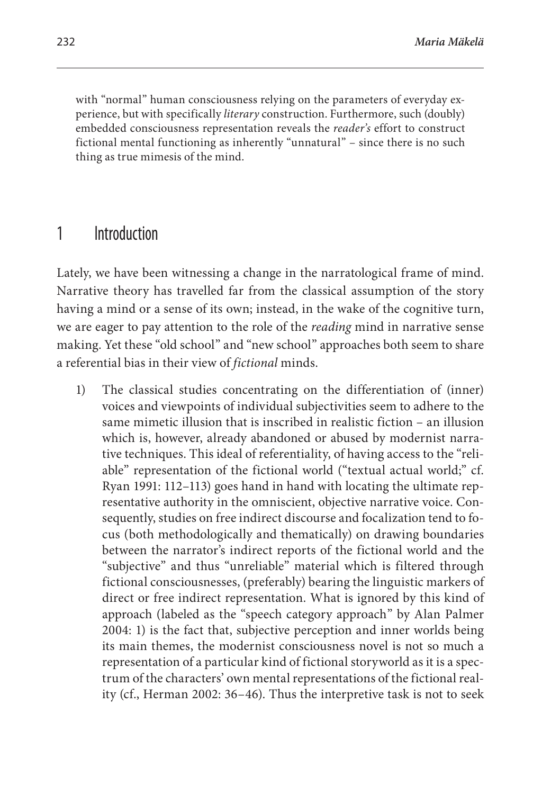with "normal" human consciousness relying on the parameters of everyday experience, but with specifically *literary* construction. Furthermore, such (doubly) embedded consciousness representation reveals the *reader's* effort to construct fictional mental functioning as inherently "unnatural" – since there is no such thing as true mimesis of the mind.

### 1 Introduction

Lately, we have been witnessing a change in the narratological frame of mind. Narrative theory has travelled far from the classical assumption of the story having a mind or a sense of its own; instead, in the wake of the cognitive turn, we are eager to pay attention to the role of the *reading* mind in narrative sense making. Yet these "old school" and "new school" approaches both seem to share a referential bias in their view of *fictional* minds.

1) The classical studies concentrating on the differentiation of (inner) voices and viewpoints of individual subjectivities seem to adhere to the same mimetic illusion that is inscribed in realistic fiction – an illusion which is, however, already abandoned or abused by modernist narrative techniques. This ideal of referentiality, of having access to the "reliable" representation of the fictional world ("textual actual world;" cf. Ryan 1991: 112–113) goes hand in hand with locating the ultimate representative authority in the omniscient, objective narrative voice. Consequently, studies on free indirect discourse and focalization tend to focus (both methodologically and thematically) on drawing boundaries between the narrator's indirect reports of the fictional world and the "subjective" and thus "unreliable" material which is filtered through fictional consciousnesses, (preferably) bearing the linguistic markers of direct or free indirect representation. What is ignored by this kind of approach (labeled as the "speech category approach" by Alan Palmer 2004: 1) is the fact that, subjective perception and inner worlds being its main themes, the modernist consciousness novel is not so much a representation of a particular kind of fictional storyworld as it is a spectrum of the characters' own mental representations of the fictional reality (cf., Herman 2002: 36–46). Thus the interpretive task is not to seek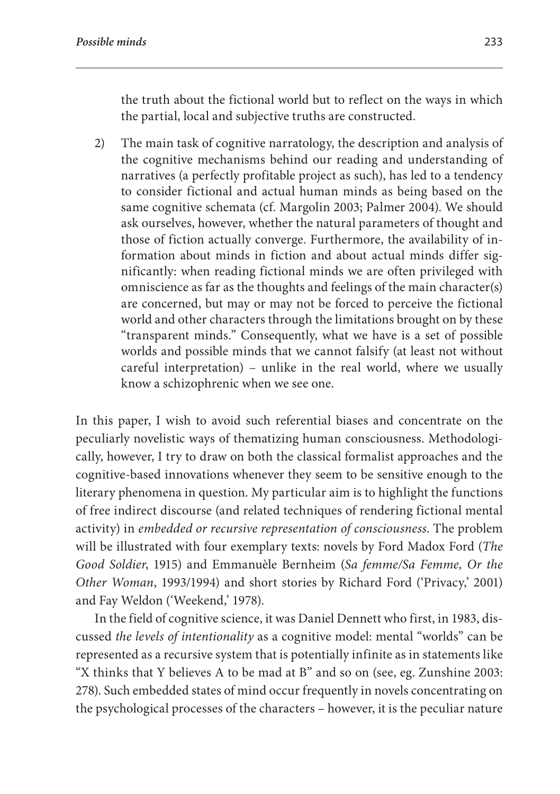the truth about the fictional world but to reflect on the ways in which the partial, local and subjective truths are constructed.

2) The main task of cognitive narratology, the description and analysis of the cognitive mechanisms behind our reading and understanding of narratives (a perfectly profitable project as such), has led to a tendency to consider fictional and actual human minds as being based on the same cognitive schemata (cf. Margolin 2003; Palmer 2004). We should ask ourselves, however, whether the natural parameters of thought and those of fiction actually converge. Furthermore, the availability of information about minds in fiction and about actual minds differ significantly: when reading fictional minds we are often privileged with omniscience as far as the thoughts and feelings of the main character(s) are concerned, but may or may not be forced to perceive the fictional world and other characters through the limitations brought on by these "transparent minds." Consequently, what we have is a set of possible worlds and possible minds that we cannot falsify (at least not without careful interpretation) – unlike in the real world, where we usually know a schizophrenic when we see one.

In this paper, I wish to avoid such referential biases and concentrate on the peculiarly novelistic ways of thematizing human consciousness. Methodologically, however, I try to draw on both the classical formalist approaches and the cognitive-based innovations whenever they seem to be sensitive enough to the literary phenomena in question. My particular aim is to highlight the functions of free indirect discourse (and related techniques of rendering fictional mental activity) in *embedded or recursive representation of consciousness*. The problem will be illustrated with four exemplary texts: novels by Ford Madox Ford (*The Good Soldier*, 1915) and Emmanuèle Bernheim (*Sa femme/Sa Femme, Or the Other Woman*, 1993/1994) and short stories by Richard Ford ('Privacy,' 2001) and Fay Weldon ('Weekend,' 1978).

In the field of cognitive science, it was Daniel Dennett who first, in 1983, discussed *the levels of intentionality* as a cognitive model: mental "worlds" can be represented as a recursive system that is potentially infinite as in statements like "X thinks that Y believes A to be mad at B" and so on (see, eg. Zunshine 2003: 278). Such embedded states of mind occur frequently in novels concentrating on the psychological processes of the characters – however, it is the peculiar nature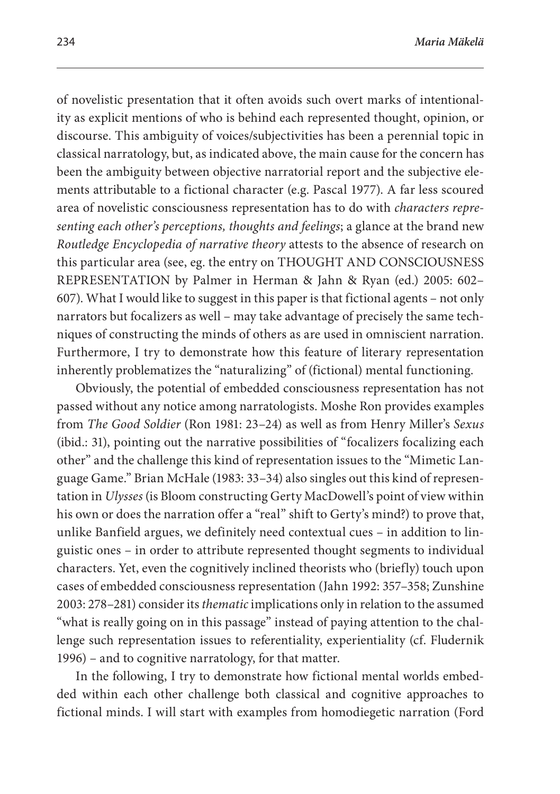of novelistic presentation that it often avoids such overt marks of intentionality as explicit mentions of who is behind each represented thought, opinion, or discourse. This ambiguity of voices/subjectivities has been a perennial topic in classical narratology, but, as indicated above, the main cause for the concern has been the ambiguity between objective narratorial report and the subjective elements attributable to a fictional character (e.g. Pascal 1977). A far less scoured area of novelistic consciousness representation has to do with *characters representing each other's perceptions, thoughts and feelings*; a glance at the brand new *Routledge Encyclopedia of narrative theory* attests to the absence of research on this particular area (see, eg. the entry on THOUGHT AND CONSCIOUSNESS REPRESENTATION by Palmer in Herman & Jahn & Ryan (ed.) 2005: 602– 607). What I would like to suggest in this paper is that fictional agents – not only narrators but focalizers as well – may take advantage of precisely the same techniques of constructing the minds of others as are used in omniscient narration. Furthermore, I try to demonstrate how this feature of literary representation inherently problematizes the "naturalizing" of (fictional) mental functioning.

Obviously, the potential of embedded consciousness representation has not passed without any notice among narratologists. Moshe Ron provides examples from *The Good Soldier* (Ron 1981: 23–24) as well as from Henry Miller's *Sexus* (ibid.: 31), pointing out the narrative possibilities of "focalizers focalizing each other" and the challenge this kind of representation issues to the "Mimetic Language Game." Brian McHale (1983: 33–34) also singles out this kind of representation in *Ulysses* (is Bloom constructing Gerty MacDowell's point of view within his own or does the narration offer a "real" shift to Gerty's mind?) to prove that, unlike Banfield argues, we definitely need contextual cues – in addition to linguistic ones – in order to attribute represented thought segments to individual characters. Yet, even the cognitively inclined theorists who (briefly) touch upon cases of embedded consciousness representation (Jahn 1992: 357–358; Zunshine 2003: 278–281) consider its *thematic* implications only in relation to the assumed "what is really going on in this passage" instead of paying attention to the challenge such representation issues to referentiality, experientiality (cf. Fludernik 1996) – and to cognitive narratology, for that matter.

In the following, I try to demonstrate how fictional mental worlds embedded within each other challenge both classical and cognitive approaches to fictional minds. I will start with examples from homodiegetic narration (Ford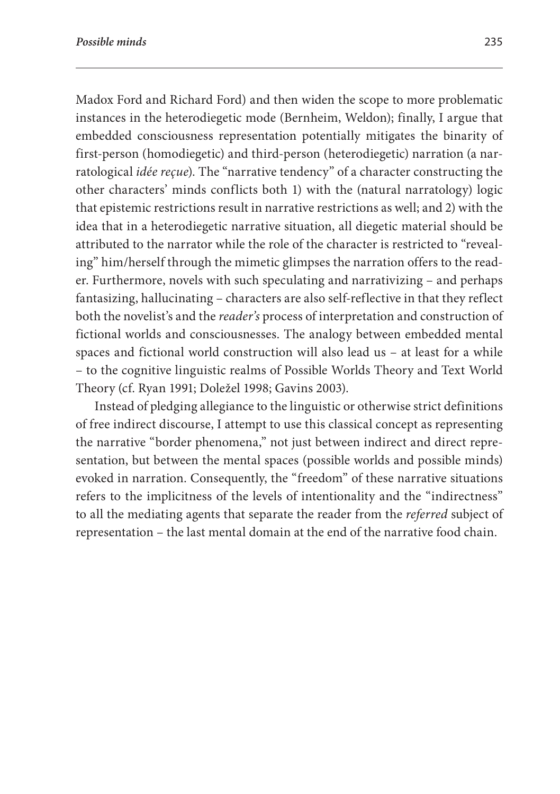Madox Ford and Richard Ford) and then widen the scope to more problematic instances in the heterodiegetic mode (Bernheim, Weldon); finally, I argue that embedded consciousness representation potentially mitigates the binarity of first-person (homodiegetic) and third-person (heterodiegetic) narration (a narratological *idée reçue*). The "narrative tendency" of a character constructing the other characters' minds conflicts both 1) with the (natural narratology) logic that epistemic restrictions result in narrative restrictions as well; and 2) with the idea that in a heterodiegetic narrative situation, all diegetic material should be attributed to the narrator while the role of the character is restricted to "revealing" him/herself through the mimetic glimpses the narration offers to the reader. Furthermore, novels with such speculating and narrativizing – and perhaps fantasizing, hallucinating – characters are also self-reflective in that they reflect both the novelist's and the *reader's* process of interpretation and construction of fictional worlds and consciousnesses. The analogy between embedded mental spaces and fictional world construction will also lead us – at least for a while – to the cognitive linguistic realms of Possible Worlds Theory and Text World Theory (cf. Ryan 1991; Doležel 1998; Gavins 2003).

Instead of pledging allegiance to the linguistic or otherwise strict definitions of free indirect discourse, I attempt to use this classical concept as representing the narrative "border phenomena," not just between indirect and direct representation, but between the mental spaces (possible worlds and possible minds) evoked in narration. Consequently, the "freedom" of these narrative situations refers to the implicitness of the levels of intentionality and the "indirectness" to all the mediating agents that separate the reader from the *referred* subject of representation – the last mental domain at the end of the narrative food chain.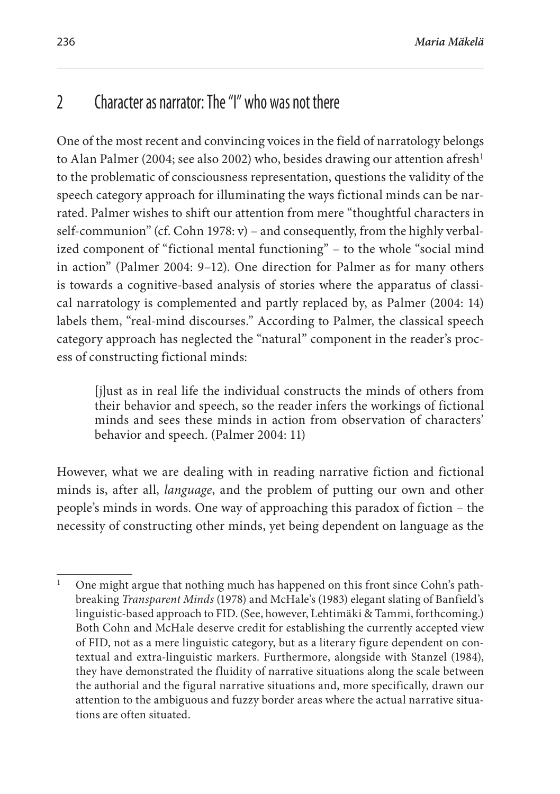## 2 Character as narrator: The "I" who was not there

One of the most recent and convincing voices in the field of narratology belongs to Alan Palmer (2004; see also 2002) who, besides drawing our attention afresh<sup>1</sup> to the problematic of consciousness representation, questions the validity of the speech category approach for illuminating the ways fictional minds can be narrated. Palmer wishes to shift our attention from mere "thoughtful characters in self-communion" (cf. Cohn 1978: v) – and consequently, from the highly verbalized component of "fictional mental functioning" – to the whole "social mind in action" (Palmer 2004: 9–12). One direction for Palmer as for many others is towards a cognitive-based analysis of stories where the apparatus of classical narratology is complemented and partly replaced by, as Palmer (2004: 14) labels them, "real-mind discourses." According to Palmer, the classical speech category approach has neglected the "natural" component in the reader's process of constructing fictional minds:

[j]ust as in real life the individual constructs the minds of others from their behavior and speech, so the reader infers the workings of fictional minds and sees these minds in action from observation of characters' behavior and speech. (Palmer 2004: 11)

However, what we are dealing with in reading narrative fiction and fictional minds is, after all, *language*, and the problem of putting our own and other people's minds in words. One way of approaching this paradox of fiction – the necessity of constructing other minds, yet being dependent on language as the

<sup>&</sup>lt;sup>1</sup> One might argue that nothing much has happened on this front since Cohn's pathbreaking *Transparent Minds* (1978) and McHale's (1983) elegant slating of Banfield's linguistic-based approach to FID. (See, however, Lehtimäki & Tammi, forthcoming.) Both Cohn and McHale deserve credit for establishing the currently accepted view of FID, not as a mere linguistic category, but as a literary figure dependent on contextual and extra-linguistic markers. Furthermore, alongside with Stanzel (1984), they have demonstrated the fluidity of narrative situations along the scale between the authorial and the figural narrative situations and, more specifically, drawn our attention to the ambiguous and fuzzy border areas where the actual narrative situations are often situated.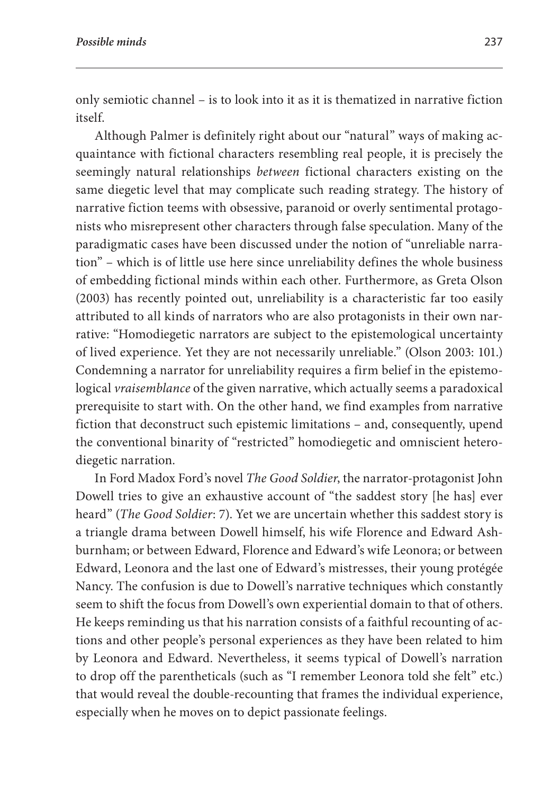only semiotic channel – is to look into it as it is thematized in narrative fiction itself.

Although Palmer is definitely right about our "natural" ways of making acquaintance with fictional characters resembling real people, it is precisely the seemingly natural relationships *between* fictional characters existing on the same diegetic level that may complicate such reading strategy. The history of narrative fiction teems with obsessive, paranoid or overly sentimental protagonists who misrepresent other characters through false speculation. Many of the paradigmatic cases have been discussed under the notion of "unreliable narration" – which is of little use here since unreliability defines the whole business of embedding fictional minds within each other. Furthermore, as Greta Olson (2003) has recently pointed out, unreliability is a characteristic far too easily attributed to all kinds of narrators who are also protagonists in their own narrative: "Homodiegetic narrators are subject to the epistemological uncertainty of lived experience. Yet they are not necessarily unreliable." (Olson 2003: 101.) Condemning a narrator for unreliability requires a firm belief in the epistemological *vraisemblance* of the given narrative, which actually seems a paradoxical prerequisite to start with. On the other hand, we find examples from narrative fiction that deconstruct such epistemic limitations – and, consequently, upend the conventional binarity of "restricted" homodiegetic and omniscient heterodiegetic narration.

In Ford Madox Ford's novel *The Good Soldier*, the narrator-protagonist John Dowell tries to give an exhaustive account of "the saddest story [he has] ever heard" (*The Good Soldier*: 7). Yet we are uncertain whether this saddest story is a triangle drama between Dowell himself, his wife Florence and Edward Ashburnham; or between Edward, Florence and Edward's wife Leonora; or between Edward, Leonora and the last one of Edward's mistresses, their young protégée Nancy. The confusion is due to Dowell's narrative techniques which constantly seem to shift the focus from Dowell's own experiential domain to that of others. He keeps reminding us that his narration consists of a faithful recounting of actions and other people's personal experiences as they have been related to him by Leonora and Edward. Nevertheless, it seems typical of Dowell's narration to drop off the parentheticals (such as "I remember Leonora told she felt" etc.) that would reveal the double-recounting that frames the individual experience, especially when he moves on to depict passionate feelings.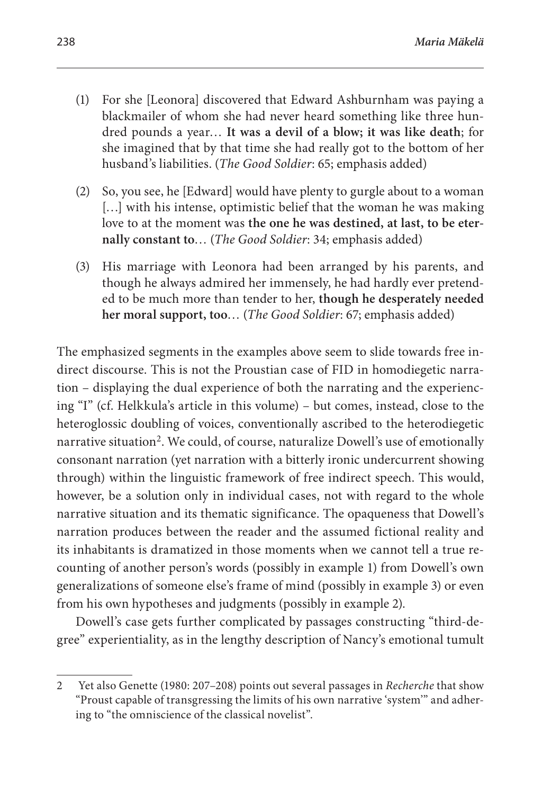- (1) For she [Leonora] discovered that Edward Ashburnham was paying a blackmailer of whom she had never heard something like three hundred pounds a year… **It was a devil of a blow; it was like death**; for she imagined that by that time she had really got to the bottom of her husband's liabilities. (*The Good Soldier*: 65; emphasis added)
- (2) So, you see, he [Edward] would have plenty to gurgle about to a woman [...] with his intense, optimistic belief that the woman he was making love to at the moment was **the one he was destined, at last, to be eternally constant to**… (*The Good Soldier*: 34; emphasis added)
- (3) His marriage with Leonora had been arranged by his parents, and though he always admired her immensely, he had hardly ever pretended to be much more than tender to her, **though he desperately needed her moral support, too**… (*The Good Soldier*: 67; emphasis added)

The emphasized segments in the examples above seem to slide towards free indirect discourse. This is not the Proustian case of FID in homodiegetic narration – displaying the dual experience of both the narrating and the experiencing "I" (cf. Helkkula's article in this volume) – but comes, instead, close to the heteroglossic doubling of voices, conventionally ascribed to the heterodiegetic narrative situation<sup>2</sup>. We could, of course, naturalize Dowell's use of emotionally consonant narration (yet narration with a bitterly ironic undercurrent showing through) within the linguistic framework of free indirect speech. This would, however, be a solution only in individual cases, not with regard to the whole narrative situation and its thematic significance. The opaqueness that Dowell's narration produces between the reader and the assumed fictional reality and its inhabitants is dramatized in those moments when we cannot tell a true recounting of another person's words (possibly in example 1) from Dowell's own generalizations of someone else's frame of mind (possibly in example 3) or even from his own hypotheses and judgments (possibly in example 2).

Dowell's case gets further complicated by passages constructing "third-degree" experientiality, as in the lengthy description of Nancy's emotional tumult

<sup>2</sup> Yet also Genette (1980: 207–208) points out several passages in *Recherche* that show "Proust capable of transgressing the limits of his own narrative 'system'" and adhering to "the omniscience of the classical novelist".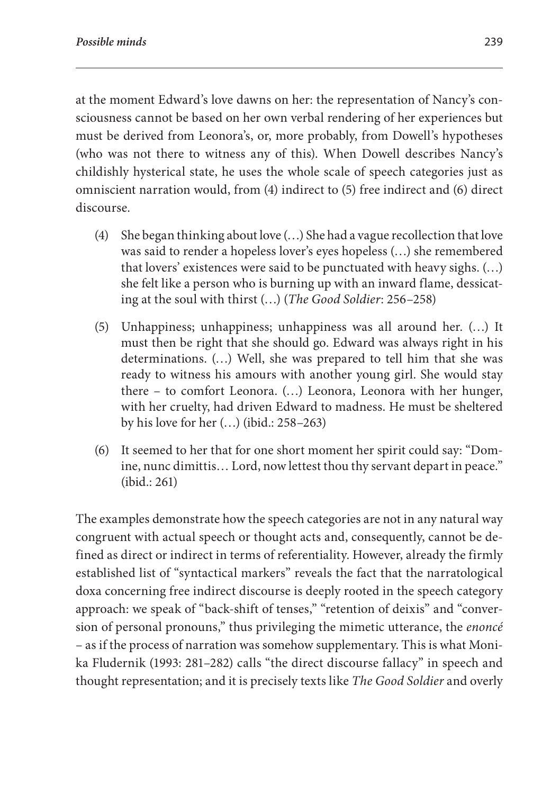at the moment Edward's love dawns on her: the representation of Nancy's consciousness cannot be based on her own verbal rendering of her experiences but must be derived from Leonora's, or, more probably, from Dowell's hypotheses (who was not there to witness any of this). When Dowell describes Nancy's childishly hysterical state, he uses the whole scale of speech categories just as omniscient narration would, from (4) indirect to (5) free indirect and (6) direct discourse.

- (4) She began thinking about love (…) She had a vague recollection that love was said to render a hopeless lover's eyes hopeless (…) she remembered that lovers' existences were said to be punctuated with heavy sighs. (…) she felt like a person who is burning up with an inward flame, dessicating at the soul with thirst (…) (*The Good Soldier*: 256–258)
- (5) Unhappiness; unhappiness; unhappiness was all around her. (…) It must then be right that she should go. Edward was always right in his determinations. (…) Well, she was prepared to tell him that she was ready to witness his amours with another young girl. She would stay there – to comfort Leonora. (…) Leonora, Leonora with her hunger, with her cruelty, had driven Edward to madness. He must be sheltered by his love for her (…) (ibid.: 258–263)
- (6) It seemed to her that for one short moment her spirit could say: "Domine, nunc dimittis… Lord, now lettest thou thy servant depart in peace." (ibid.: 261)

The examples demonstrate how the speech categories are not in any natural way congruent with actual speech or thought acts and, consequently, cannot be defined as direct or indirect in terms of referentiality. However, already the firmly established list of "syntactical markers" reveals the fact that the narratological doxa concerning free indirect discourse is deeply rooted in the speech category approach: we speak of "back-shift of tenses," "retention of deixis" and "conversion of personal pronouns," thus privileging the mimetic utterance, the *enoncé* – as if the process of narration was somehow supplementary. This is what Monika Fludernik (1993: 281–282) calls "the direct discourse fallacy" in speech and thought representation; and it is precisely texts like *The Good Soldier* and overly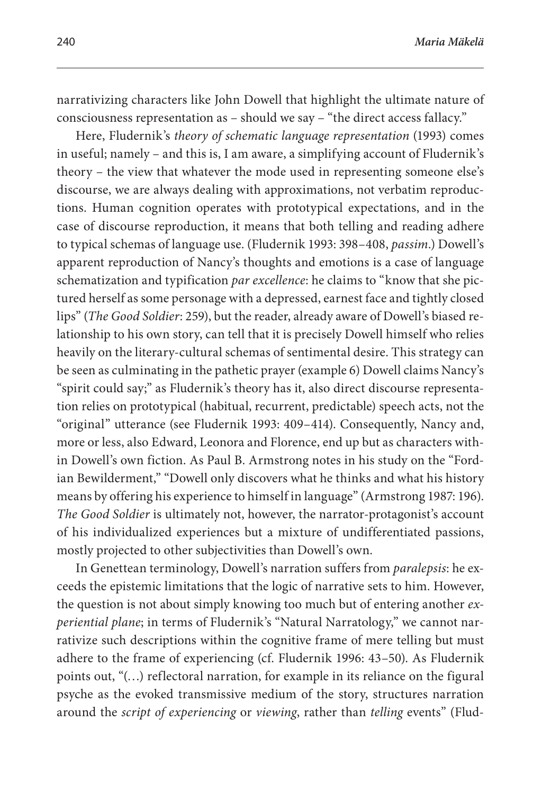narrativizing characters like John Dowell that highlight the ultimate nature of consciousness representation as – should we say – "the direct access fallacy."

Here, Fludernik's *theory of schematic language representation* (1993) comes in useful; namely – and this is, I am aware, a simplifying account of Fludernik's theory – the view that whatever the mode used in representing someone else's discourse, we are always dealing with approximations, not verbatim reproductions. Human cognition operates with prototypical expectations, and in the case of discourse reproduction, it means that both telling and reading adhere to typical schemas of language use. (Fludernik 1993: 398–408, *passim*.) Dowell's apparent reproduction of Nancy's thoughts and emotions is a case of language schematization and typification *par excellence*: he claims to "know that she pictured herself as some personage with a depressed, earnest face and tightly closed lips" (*The Good Soldier*: 259), but the reader, already aware of Dowell's biased relationship to his own story, can tell that it is precisely Dowell himself who relies heavily on the literary-cultural schemas of sentimental desire. This strategy can be seen as culminating in the pathetic prayer (example 6) Dowell claims Nancy's "spirit could say;" as Fludernik's theory has it, also direct discourse representation relies on prototypical (habitual, recurrent, predictable) speech acts, not the "original" utterance (see Fludernik 1993: 409–414). Consequently, Nancy and, more or less, also Edward, Leonora and Florence, end up but as characters within Dowell's own fiction. As Paul B. Armstrong notes in his study on the "Fordian Bewilderment," "Dowell only discovers what he thinks and what his history means by offering his experience to himself in language" (Armstrong 1987: 196). *The Good Soldier* is ultimately not, however, the narrator-protagonist's account of his individualized experiences but a mixture of undifferentiated passions, mostly projected to other subjectivities than Dowell's own.

In Genettean terminology, Dowell's narration suffers from *paralepsis*: he exceeds the epistemic limitations that the logic of narrative sets to him. However, the question is not about simply knowing too much but of entering another *experiential plane*; in terms of Fludernik's "Natural Narratology," we cannot narrativize such descriptions within the cognitive frame of mere telling but must adhere to the frame of experiencing (cf. Fludernik 1996: 43–50). As Fludernik points out, "(…) reflectoral narration, for example in its reliance on the figural psyche as the evoked transmissive medium of the story, structures narration around the *script of experiencing* or *viewing*, rather than *telling* events" (Flud-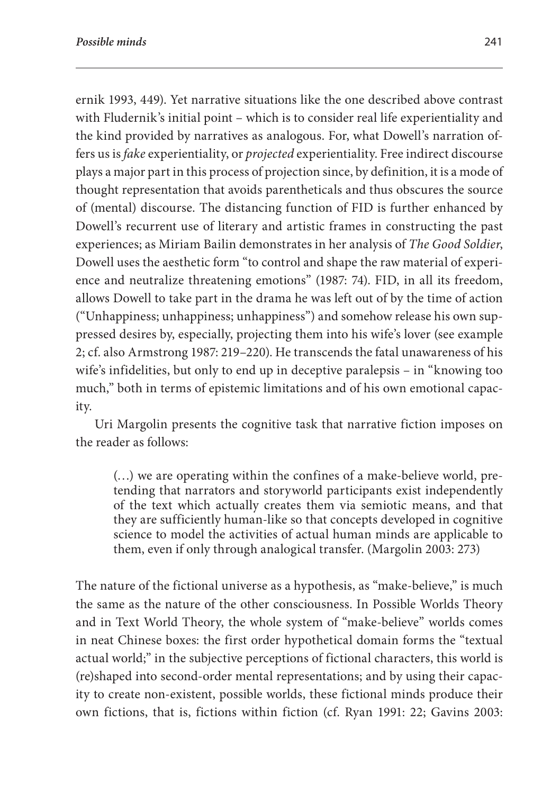ernik 1993, 449). Yet narrative situations like the one described above contrast with Fludernik's initial point – which is to consider real life experientiality and the kind provided by narratives as analogous. For, what Dowell's narration offers us is *fake* experientiality, or *projected* experientiality. Free indirect discourse plays a major part in this process of projection since, by definition, it is a mode of thought representation that avoids parentheticals and thus obscures the source of (mental) discourse. The distancing function of FID is further enhanced by Dowell's recurrent use of literary and artistic frames in constructing the past experiences; as Miriam Bailin demonstrates in her analysis of *The Good Soldier*, Dowell uses the aesthetic form "to control and shape the raw material of experience and neutralize threatening emotions" (1987: 74). FID, in all its freedom, allows Dowell to take part in the drama he was left out of by the time of action ("Unhappiness; unhappiness; unhappiness") and somehow release his own suppressed desires by, especially, projecting them into his wife's lover (see example 2; cf. also Armstrong 1987: 219–220). He transcends the fatal unawareness of his wife's infidelities, but only to end up in deceptive paralepsis – in "knowing too much," both in terms of epistemic limitations and of his own emotional capacity.

Uri Margolin presents the cognitive task that narrative fiction imposes on the reader as follows:

(…) we are operating within the confines of a make-believe world, pretending that narrators and storyworld participants exist independently of the text which actually creates them via semiotic means, and that they are sufficiently human-like so that concepts developed in cognitive science to model the activities of actual human minds are applicable to them, even if only through analogical transfer. (Margolin 2003: 273)

The nature of the fictional universe as a hypothesis, as "make-believe," is much the same as the nature of the other consciousness. In Possible Worlds Theory and in Text World Theory, the whole system of "make-believe" worlds comes in neat Chinese boxes: the first order hypothetical domain forms the "textual actual world;" in the subjective perceptions of fictional characters, this world is (re)shaped into second-order mental representations; and by using their capacity to create non-existent, possible worlds, these fictional minds produce their own fictions, that is, fictions within fiction (cf. Ryan 1991: 22; Gavins 2003: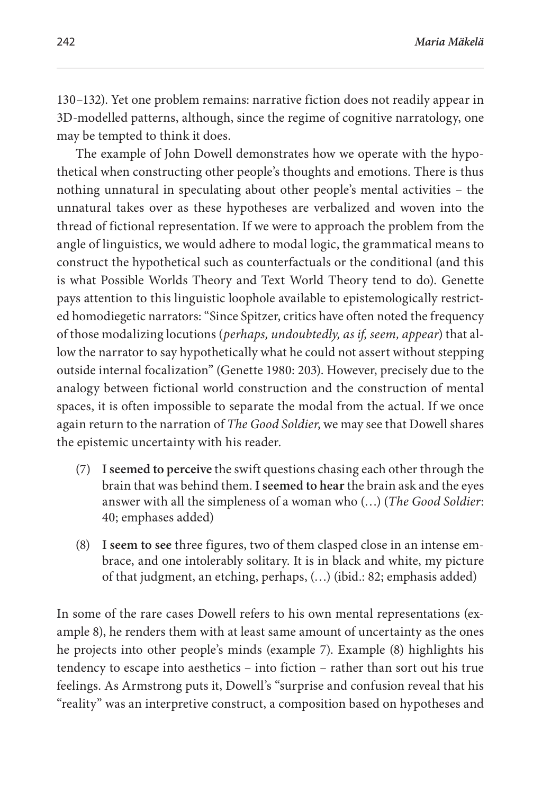130–132). Yet one problem remains: narrative fiction does not readily appear in 3D-modelled patterns, although, since the regime of cognitive narratology, one may be tempted to think it does.

The example of John Dowell demonstrates how we operate with the hypothetical when constructing other people's thoughts and emotions. There is thus nothing unnatural in speculating about other people's mental activities – the unnatural takes over as these hypotheses are verbalized and woven into the thread of fictional representation. If we were to approach the problem from the angle of linguistics, we would adhere to modal logic, the grammatical means to construct the hypothetical such as counterfactuals or the conditional (and this is what Possible Worlds Theory and Text World Theory tend to do). Genette pays attention to this linguistic loophole available to epistemologically restricted homodiegetic narrators: "Since Spitzer, critics have often noted the frequency of those modalizing locutions (*perhaps, undoubtedly, as if, seem, appear*) that allow the narrator to say hypothetically what he could not assert without stepping outside internal focalization" (Genette 1980: 203). However, precisely due to the analogy between fictional world construction and the construction of mental spaces, it is often impossible to separate the modal from the actual. If we once again return to the narration of *The Good Soldier*, we may see that Dowell shares the epistemic uncertainty with his reader.

- (7) **I seemed to perceive** the swift questions chasing each other through the brain that was behind them. **I seemed to hear** the brain ask and the eyes answer with all the simpleness of a woman who (…) (*The Good Soldier*: 40; emphases added)
- (8) **I seem to see** three figures, two of them clasped close in an intense embrace, and one intolerably solitary. It is in black and white, my picture of that judgment, an etching, perhaps, (…) (ibid.: 82; emphasis added)

In some of the rare cases Dowell refers to his own mental representations (example 8), he renders them with at least same amount of uncertainty as the ones he projects into other people's minds (example 7). Example (8) highlights his tendency to escape into aesthetics – into fiction – rather than sort out his true feelings. As Armstrong puts it, Dowell's "surprise and confusion reveal that his "reality" was an interpretive construct, a composition based on hypotheses and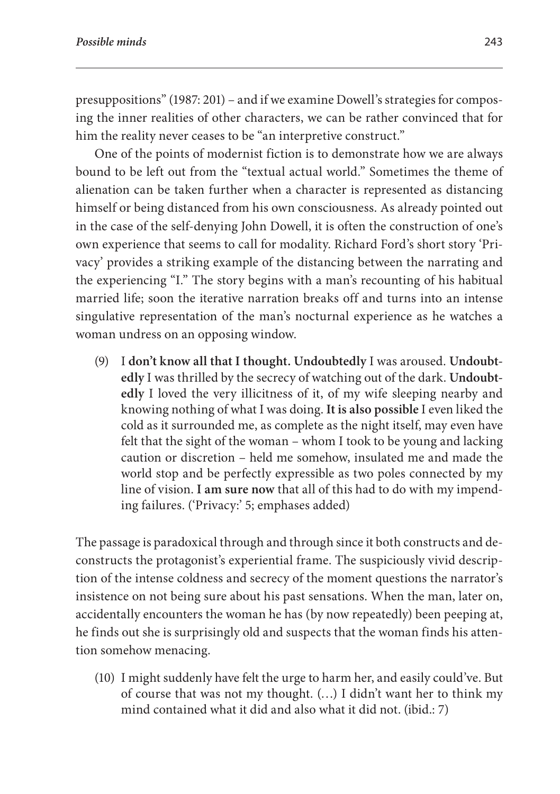presuppositions" (1987: 201) – and if we examine Dowell's strategies for composing the inner realities of other characters, we can be rather convinced that for him the reality never ceases to be "an interpretive construct."

One of the points of modernist fiction is to demonstrate how we are always bound to be left out from the "textual actual world." Sometimes the theme of alienation can be taken further when a character is represented as distancing himself or being distanced from his own consciousness. As already pointed out in the case of the self-denying John Dowell, it is often the construction of one's own experience that seems to call for modality. Richard Ford's short story 'Privacy' provides a striking example of the distancing between the narrating and the experiencing "I." The story begins with a man's recounting of his habitual married life; soon the iterative narration breaks off and turns into an intense singulative representation of the man's nocturnal experience as he watches a woman undress on an opposing window.

(9) I **don't know all that I thought. Undoubtedly** I was aroused. **Undoubtedly** I was thrilled by the secrecy of watching out of the dark. **Undoubtedly** I loved the very illicitness of it, of my wife sleeping nearby and knowing nothing of what I was doing. **It is also possible** I even liked the cold as it surrounded me, as complete as the night itself, may even have felt that the sight of the woman – whom I took to be young and lacking caution or discretion – held me somehow, insulated me and made the world stop and be perfectly expressible as two poles connected by my line of vision. **I am sure now** that all of this had to do with my impending failures. ('Privacy:' 5; emphases added)

The passage is paradoxical through and through since it both constructs and deconstructs the protagonist's experiential frame. The suspiciously vivid description of the intense coldness and secrecy of the moment questions the narrator's insistence on not being sure about his past sensations. When the man, later on, accidentally encounters the woman he has (by now repeatedly) been peeping at, he finds out she is surprisingly old and suspects that the woman finds his attention somehow menacing.

(10) I might suddenly have felt the urge to harm her, and easily could've. But of course that was not my thought. (…) I didn't want her to think my mind contained what it did and also what it did not. (ibid.: 7)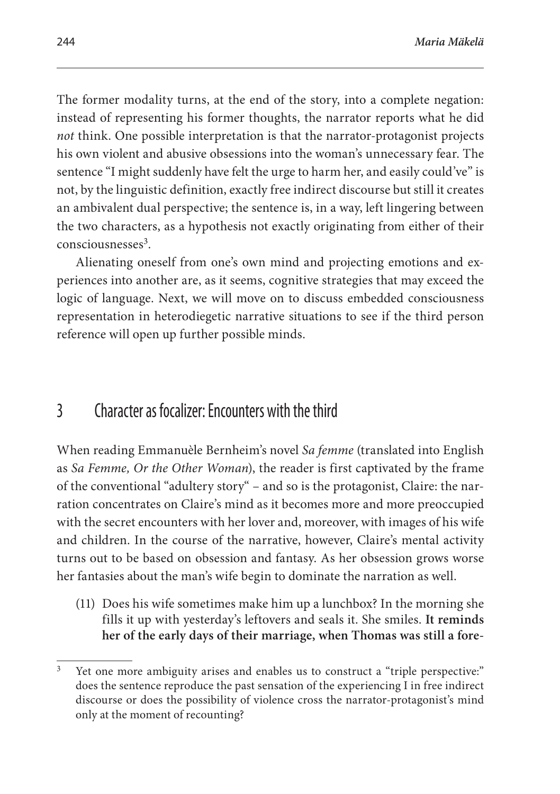The former modality turns, at the end of the story, into a complete negation: instead of representing his former thoughts, the narrator reports what he did *not* think. One possible interpretation is that the narrator-protagonist projects his own violent and abusive obsessions into the woman's unnecessary fear. The sentence "I might suddenly have felt the urge to harm her, and easily could've" is not, by the linguistic definition, exactly free indirect discourse but still it creates an ambivalent dual perspective; the sentence is, in a way, left lingering between the two characters, as a hypothesis not exactly originating from either of their consciousnesses<sup>3</sup>.

Alienating oneself from one's own mind and projecting emotions and experiences into another are, as it seems, cognitive strategies that may exceed the logic of language. Next, we will move on to discuss embedded consciousness representation in heterodiegetic narrative situations to see if the third person reference will open up further possible minds.

### 3 Character as focalizer: Encounters with the third

When reading Emmanuèle Bernheim's novel *Sa femme* (translated into English as *Sa Femme, Or the Other Woman*), the reader is first captivated by the frame of the conventional "adultery story" – and so is the protagonist, Claire: the narration concentrates on Claire's mind as it becomes more and more preoccupied with the secret encounters with her lover and, moreover, with images of his wife and children. In the course of the narrative, however, Claire's mental activity turns out to be based on obsession and fantasy. As her obsession grows worse her fantasies about the man's wife begin to dominate the narration as well.

(11) Does his wife sometimes make him up a lunchbox? In the morning she fills it up with yesterday's leftovers and seals it. She smiles. **It reminds her of the early days of their marriage, when Thomas was still a fore-**

<sup>&</sup>lt;sup>3</sup> Yet one more ambiguity arises and enables us to construct a "triple perspective:" does the sentence reproduce the past sensation of the experiencing I in free indirect discourse or does the possibility of violence cross the narrator-protagonist's mind only at the moment of recounting?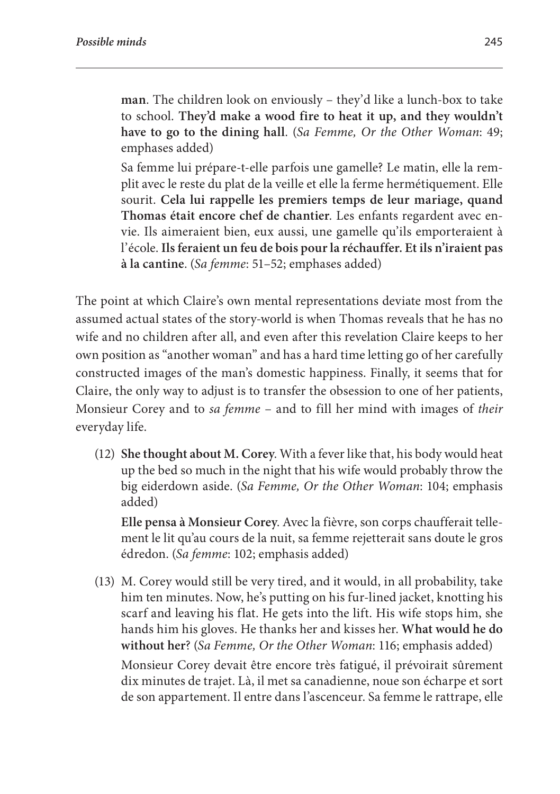**man**. The children look on enviously – they'd like a lunch-box to take to school. **They'd make a wood fire to heat it up, and they wouldn't have to go to the dining hall**. (*Sa Femme, Or the Other Woman*: 49; emphases added)

Sa femme lui prépare-t-elle parfois une gamelle? Le matin, elle la remplit avec le reste du plat de la veille et elle la ferme hermétiquement. Elle sourit. **Cela lui rappelle les premiers temps de leur mariage, quand Thomas était encore chef de chantier**. Les enfants regardent avec envie. Ils aimeraient bien, eux aussi, une gamelle qu'ils emporteraient à l'école. **Ils feraient un feu de bois pour la réchauffer. Et ils n'iraient pas à la cantine**. (*Sa femme*: 51–52; emphases added)

The point at which Claire's own mental representations deviate most from the assumed actual states of the story-world is when Thomas reveals that he has no wife and no children after all, and even after this revelation Claire keeps to her own position as "another woman" and has a hard time letting go of her carefully constructed images of the man's domestic happiness. Finally, it seems that for Claire, the only way to adjust is to transfer the obsession to one of her patients, Monsieur Corey and to *sa femme* – and to fill her mind with images of *their* everyday life.

(12) **She thought about M. Corey**. With a fever like that, his body would heat up the bed so much in the night that his wife would probably throw the big eiderdown aside. (*Sa Femme, Or the Other Woman*: 104; emphasis added)

**Elle pensa à Monsieur Corey**. Avec la fièvre, son corps chaufferait tellement le lit qu'au cours de la nuit, sa femme rejetterait sans doute le gros édredon. (*Sa femme*: 102; emphasis added)

(13) M. Corey would still be very tired, and it would, in all probability, take him ten minutes. Now, he's putting on his fur-lined jacket, knotting his scarf and leaving his flat. He gets into the lift. His wife stops him, she hands him his gloves. He thanks her and kisses her. **What would he do without her**? (*Sa Femme, Or the Other Woman*: 116; emphasis added) Monsieur Corey devait être encore très fatigué, il prévoirait sûrement dix minutes de trajet. Là, il met sa canadienne, noue son écharpe et sort de son appartement. Il entre dans l'ascenceur. Sa femme le rattrape, elle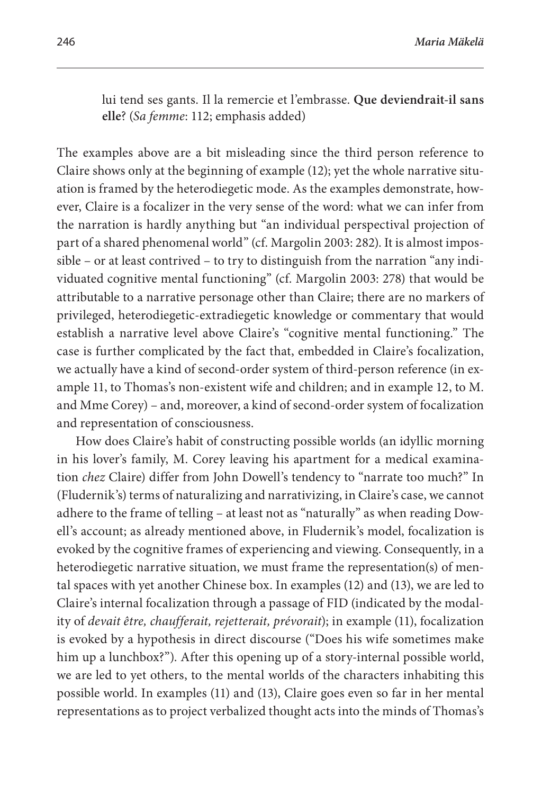lui tend ses gants. Il la remercie et l'embrasse. **Que deviendrait-il sans elle**? (*Sa femme*: 112; emphasis added)

The examples above are a bit misleading since the third person reference to Claire shows only at the beginning of example (12); yet the whole narrative situation is framed by the heterodiegetic mode. As the examples demonstrate, however, Claire is a focalizer in the very sense of the word: what we can infer from the narration is hardly anything but "an individual perspectival projection of part of a shared phenomenal world" (cf. Margolin 2003: 282). It is almost impossible – or at least contrived – to try to distinguish from the narration "any individuated cognitive mental functioning" (cf. Margolin 2003: 278) that would be attributable to a narrative personage other than Claire; there are no markers of privileged, heterodiegetic-extradiegetic knowledge or commentary that would establish a narrative level above Claire's "cognitive mental functioning." The case is further complicated by the fact that, embedded in Claire's focalization, we actually have a kind of second-order system of third-person reference (in example 11, to Thomas's non-existent wife and children; and in example 12, to M. and Mme Corey) – and, moreover, a kind of second-order system of focalization and representation of consciousness.

How does Claire's habit of constructing possible worlds (an idyllic morning in his lover's family, M. Corey leaving his apartment for a medical examination *chez* Claire) differ from John Dowell's tendency to "narrate too much?" In (Fludernik's) terms of naturalizing and narrativizing, in Claire's case, we cannot adhere to the frame of telling – at least not as "naturally" as when reading Dowell's account; as already mentioned above, in Fludernik's model, focalization is evoked by the cognitive frames of experiencing and viewing. Consequently, in a heterodiegetic narrative situation, we must frame the representation(s) of mental spaces with yet another Chinese box. In examples (12) and (13), we are led to Claire's internal focalization through a passage of FID (indicated by the modality of *devait être, chaufferait, rejetterait, prévorait*); in example (11), focalization is evoked by a hypothesis in direct discourse ("Does his wife sometimes make him up a lunchbox?"). After this opening up of a story-internal possible world, we are led to yet others, to the mental worlds of the characters inhabiting this possible world. In examples (11) and (13), Claire goes even so far in her mental representations as to project verbalized thought acts into the minds of Thomas's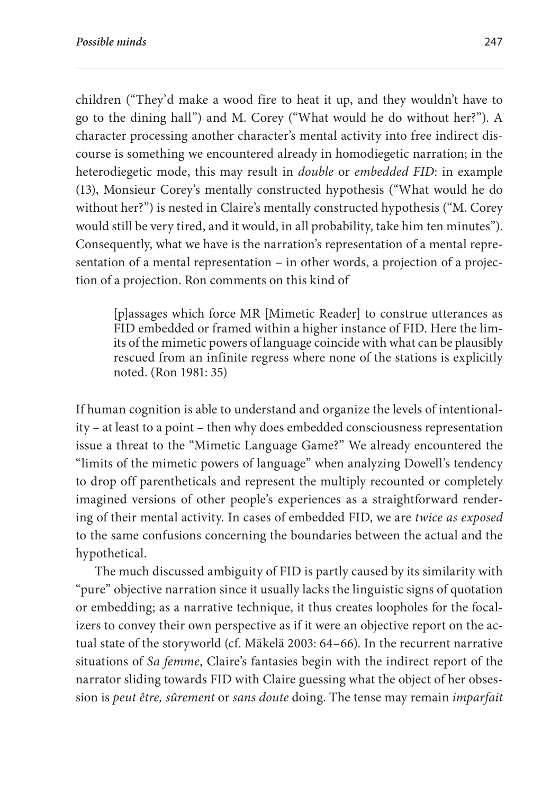children ("They'd make a wood fire to heat it up, and they wouldn't have to go to the dining hall") and M. Corey ("What would he do without her?"). A character processing another character's mental activity into free indirect discourse is something we encountered already in homodiegetic narration; in the heterodiegetic mode, this may result in *double* or *embedded FID*: in example (13), Monsieur Corey's mentally constructed hypothesis ("What would he do without her?") is nested in Claire's mentally constructed hypothesis ("M. Corey would still be very tired, and it would, in all probability, take him ten minutes"). Consequently, what we have is the narration's representation of a mental representation of a mental representation – in other words, a projection of a projection of a projection. Ron comments on this kind of

[p]assages which force MR [Mimetic Reader] to construe utterances as FID embedded or framed within a higher instance of FID. Here the limits of the mimetic powers of language coincide with what can be plausibly rescued from an infinite regress where none of the stations is explicitly noted. (Ron 1981: 35)

If human cognition is able to understand and organize the levels of intentionality – at least to a point – then why does embedded consciousness representation issue a threat to the "Mimetic Language Game?" We already encountered the "limits of the mimetic powers of language" when analyzing Dowell's tendency to drop off parentheticals and represent the multiply recounted or completely imagined versions of other people's experiences as a straightforward rendering of their mental activity. In cases of embedded FID, we are *twice as exposed* to the same confusions concerning the boundaries between the actual and the hypothetical.

The much discussed ambiguity of FID is partly caused by its similarity with "pure" objective narration since it usually lacks the linguistic signs of quotation or embedding; as a narrative technique, it thus creates loopholes for the focalizers to convey their own perspective as if it were an objective report on the actual state of the storyworld (cf. Mäkelä 2003: 64–66). In the recurrent narrative situations of *Sa femme*, Claire's fantasies begin with the indirect report of the narrator sliding towards FID with Claire guessing what the object of her obsession is *peut être, sûrement* or *sans doute* doing. The tense may remain *imparfait*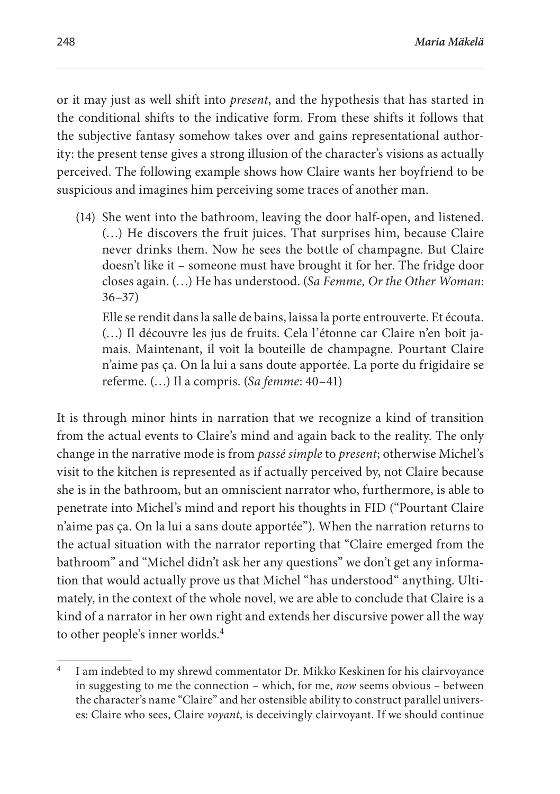or it may just as well shift into *present*, and the hypothesis that has started in the conditional shifts to the indicative form. From these shifts it follows that the subjective fantasy somehow takes over and gains representational authority: the present tense gives a strong illusion of the character's visions as actually perceived. The following example shows how Claire wants her boyfriend to be suspicious and imagines him perceiving some traces of another man.

(14) She went into the bathroom, leaving the door half-open, and listened. (…) He discovers the fruit juices. That surprises him, because Claire never drinks them. Now he sees the bottle of champagne. But Claire doesn't like it – someone must have brought it for her. The fridge door closes again. (…) He has understood. (*Sa Femme, Or the Other Woman*: 36–37)

Elle se rendit dans la salle de bains, laissa la porte entrouverte. Et écouta. (…) Il découvre les jus de fruits. Cela l'étonne car Claire n'en boit jamais. Maintenant, il voit la bouteille de champagne. Pourtant Claire n'aime pas ça. On la lui a sans doute apportée. La porte du frigidaire se referme. (…) Il a compris. (*Sa femme*: 40–41)

It is through minor hints in narration that we recognize a kind of transition from the actual events to Claire's mind and again back to the reality. The only change in the narrative mode is from *passé simple* to *present*; otherwise Michel's visit to the kitchen is represented as if actually perceived by, not Claire because she is in the bathroom, but an omniscient narrator who, furthermore, is able to penetrate into Michel's mind and report his thoughts in FID ("Pourtant Claire n'aime pas ça. On la lui a sans doute apportée"). When the narration returns to the actual situation with the narrator reporting that "Claire emerged from the bathroom" and "Michel didn't ask her any questions" we don't get any information that would actually prove us that Michel "has understood" anything. Ultimately, in the context of the whole novel, we are able to conclude that Claire is a kind of a narrator in her own right and extends her discursive power all the way to other people's inner worlds.4

<sup>&</sup>lt;sup>4</sup> I am indebted to my shrewd commentator Dr. Mikko Keskinen for his clairvoyance in suggesting to me the connection – which, for me, *now* seems obvious – between the character's name "Claire" and her ostensible ability to construct parallel universes: Claire who sees, Claire *voyant*, is deceivingly clairvoyant. If we should continue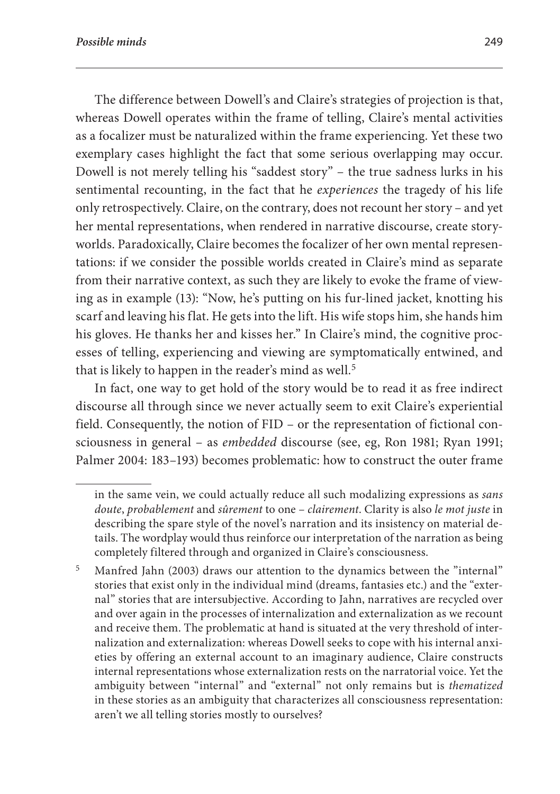The difference between Dowell's and Claire's strategies of projection is that, whereas Dowell operates within the frame of telling, Claire's mental activities as a focalizer must be naturalized within the frame experiencing. Yet these two exemplary cases highlight the fact that some serious overlapping may occur. Dowell is not merely telling his "saddest story" – the true sadness lurks in his sentimental recounting, in the fact that he *experiences* the tragedy of his life only retrospectively. Claire, on the contrary, does not recount her story – and yet her mental representations, when rendered in narrative discourse, create storyworlds. Paradoxically, Claire becomes the focalizer of her own mental representations: if we consider the possible worlds created in Claire's mind as separate from their narrative context, as such they are likely to evoke the frame of viewing as in example (13): "Now, he's putting on his fur-lined jacket, knotting his scarf and leaving his flat. He gets into the lift. His wife stops him, she hands him his gloves. He thanks her and kisses her." In Claire's mind, the cognitive processes of telling, experiencing and viewing are symptomatically entwined, and that is likely to happen in the reader's mind as well.5

In fact, one way to get hold of the story would be to read it as free indirect discourse all through since we never actually seem to exit Claire's experiential field. Consequently, the notion of FID – or the representation of fictional consciousness in general – as *embedded* discourse (see, eg, Ron 1981; Ryan 1991; Palmer 2004: 183–193) becomes problematic: how to construct the outer frame

in the same vein, we could actually reduce all such modalizing expressions as *sans doute*, *probablement* and *sûrement* to one – *clairement*. Clarity is also *le mot juste* in describing the spare style of the novel's narration and its insistency on material details. The wordplay would thus reinforce our interpretation of the narration as being completely filtered through and organized in Claire's consciousness.

<sup>5</sup> Manfred Jahn (2003) draws our attention to the dynamics between the "internal" stories that exist only in the individual mind (dreams, fantasies etc.) and the "external" stories that are intersubjective. According to Jahn, narratives are recycled over and over again in the processes of internalization and externalization as we recount and receive them. The problematic at hand is situated at the very threshold of internalization and externalization: whereas Dowell seeks to cope with his internal anxieties by offering an external account to an imaginary audience, Claire constructs internal representations whose externalization rests on the narratorial voice. Yet the ambiguity between "internal" and "external" not only remains but is *thematized* in these stories as an ambiguity that characterizes all consciousness representation: aren't we all telling stories mostly to ourselves?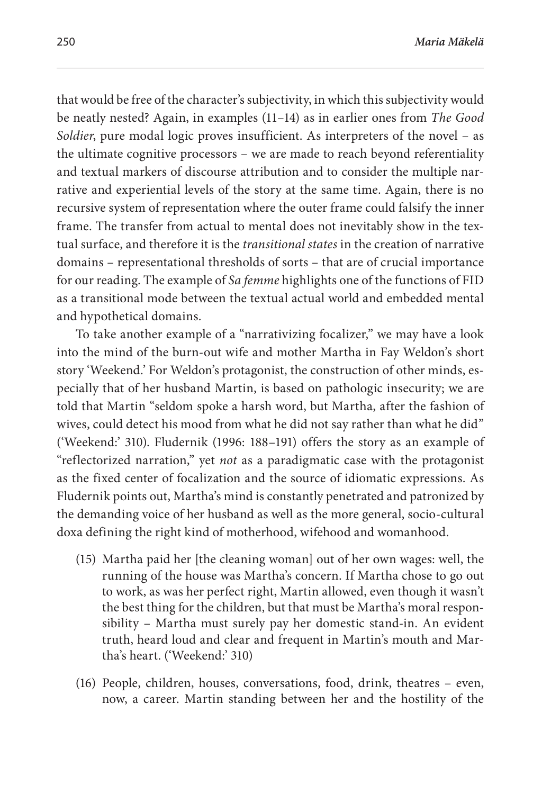that would be free of the character's subjectivity, in which this subjectivity would be neatly nested? Again, in examples (11–14) as in earlier ones from *The Good Soldier*, pure modal logic proves insufficient. As interpreters of the novel – as the ultimate cognitive processors – we are made to reach beyond referentiality and textual markers of discourse attribution and to consider the multiple narrative and experiential levels of the story at the same time. Again, there is no recursive system of representation where the outer frame could falsify the inner frame. The transfer from actual to mental does not inevitably show in the textual surface, and therefore it is the *transitional states* in the creation of narrative domains – representational thresholds of sorts – that are of crucial importance for our reading. The example of *Sa femme* highlights one of the functions of FID as a transitional mode between the textual actual world and embedded mental and hypothetical domains.

To take another example of a "narrativizing focalizer," we may have a look into the mind of the burn-out wife and mother Martha in Fay Weldon's short story 'Weekend.' For Weldon's protagonist, the construction of other minds, especially that of her husband Martin, is based on pathologic insecurity; we are told that Martin "seldom spoke a harsh word, but Martha, after the fashion of wives, could detect his mood from what he did not say rather than what he did" ('Weekend:' 310). Fludernik (1996: 188–191) offers the story as an example of "reflectorized narration," yet *not* as a paradigmatic case with the protagonist as the fixed center of focalization and the source of idiomatic expressions. As Fludernik points out, Martha's mind is constantly penetrated and patronized by the demanding voice of her husband as well as the more general, socio-cultural doxa defining the right kind of motherhood, wifehood and womanhood.

- (15) Martha paid her [the cleaning woman] out of her own wages: well, the running of the house was Martha's concern. If Martha chose to go out to work, as was her perfect right, Martin allowed, even though it wasn't the best thing for the children, but that must be Martha's moral responsibility – Martha must surely pay her domestic stand-in. An evident truth, heard loud and clear and frequent in Martin's mouth and Martha's heart. ('Weekend:' 310)
- (16) People, children, houses, conversations, food, drink, theatres even, now, a career. Martin standing between her and the hostility of the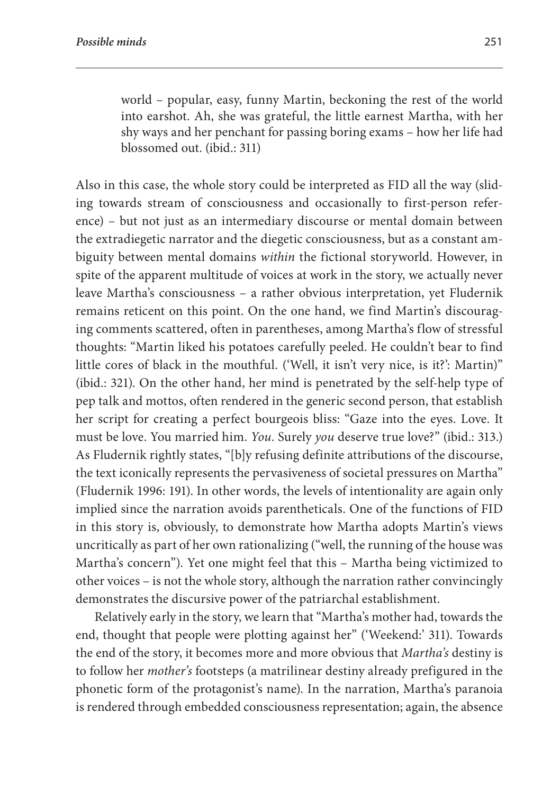world – popular, easy, funny Martin, beckoning the rest of the world into earshot. Ah, she was grateful, the little earnest Martha, with her shy ways and her penchant for passing boring exams – how her life had blossomed out. (ibid.: 311)

Also in this case, the whole story could be interpreted as FID all the way (sliding towards stream of consciousness and occasionally to first-person reference) – but not just as an intermediary discourse or mental domain between the extradiegetic narrator and the diegetic consciousness, but as a constant ambiguity between mental domains *within* the fictional storyworld. However, in spite of the apparent multitude of voices at work in the story, we actually never leave Martha's consciousness – a rather obvious interpretation, yet Fludernik remains reticent on this point. On the one hand, we find Martin's discouraging comments scattered, often in parentheses, among Martha's flow of stressful thoughts: "Martin liked his potatoes carefully peeled. He couldn't bear to find little cores of black in the mouthful. ('Well, it isn't very nice, is it?': Martin)" (ibid.: 321). On the other hand, her mind is penetrated by the self-help type of pep talk and mottos, often rendered in the generic second person, that establish her script for creating a perfect bourgeois bliss: "Gaze into the eyes. Love. It must be love. You married him. *You*. Surely *you* deserve true love?" (ibid.: 313.) As Fludernik rightly states, "[b]y refusing definite attributions of the discourse, the text iconically represents the pervasiveness of societal pressures on Martha" (Fludernik 1996: 191). In other words, the levels of intentionality are again only implied since the narration avoids parentheticals. One of the functions of FID in this story is, obviously, to demonstrate how Martha adopts Martin's views uncritically as part of her own rationalizing ("well, the running of the house was Martha's concern"). Yet one might feel that this – Martha being victimized to other voices – is not the whole story, although the narration rather convincingly demonstrates the discursive power of the patriarchal establishment.

Relatively early in the story, we learn that "Martha's mother had, towards the end, thought that people were plotting against her" ('Weekend:' 311). Towards the end of the story, it becomes more and more obvious that *Martha's* destiny is to follow her *mother's* footsteps (a matrilinear destiny already prefigured in the phonetic form of the protagonist's name). In the narration, Martha's paranoia is rendered through embedded consciousness representation; again, the absence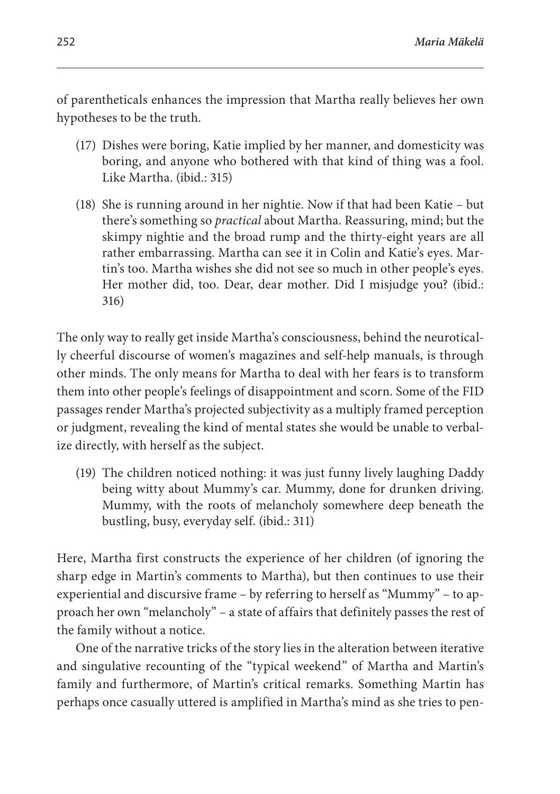of parentheticals enhances the impression that Martha really believes her own hypotheses to be the truth.

- (17) Dishes were boring, Katie implied by her manner, and domesticity was boring, and anyone who bothered with that kind of thing was a fool. Like Martha. (ibid.: 315)
- (18) She is running around in her nightie. Now if that had been Katie but there's something so *practical* about Martha. Reassuring, mind; but the skimpy nightie and the broad rump and the thirty-eight years are all rather embarrassing. Martha can see it in Colin and Katie's eyes. Martin's too. Martha wishes she did not see so much in other people's eyes. Her mother did, too. Dear, dear mother. Did I misjudge you? (ibid.: 316)

The only way to really get inside Martha's consciousness, behind the neurotically cheerful discourse of women's magazines and self-help manuals, is through other minds. The only means for Martha to deal with her fears is to transform them into other people's feelings of disappointment and scorn. Some of the FID passages render Martha's projected subjectivity as a multiply framed perception or judgment, revealing the kind of mental states she would be unable to verbalize directly, with herself as the subject.

(19) The children noticed nothing: it was just funny lively laughing Daddy being witty about Mummy's car. Mummy, done for drunken driving. Mummy, with the roots of melancholy somewhere deep beneath the bustling, busy, everyday self. (ibid.: 311)

Here, Martha first constructs the experience of her children (of ignoring the sharp edge in Martin's comments to Martha), but then continues to use their experiential and discursive frame – by referring to herself as "Mummy" – to approach her own "melancholy" – a state of affairs that definitely passes the rest of the family without a notice.

One of the narrative tricks of the story lies in the alteration between iterative and singulative recounting of the "typical weekend" of Martha and Martin's family and furthermore, of Martin's critical remarks. Something Martin has perhaps once casually uttered is amplified in Martha's mind as she tries to pen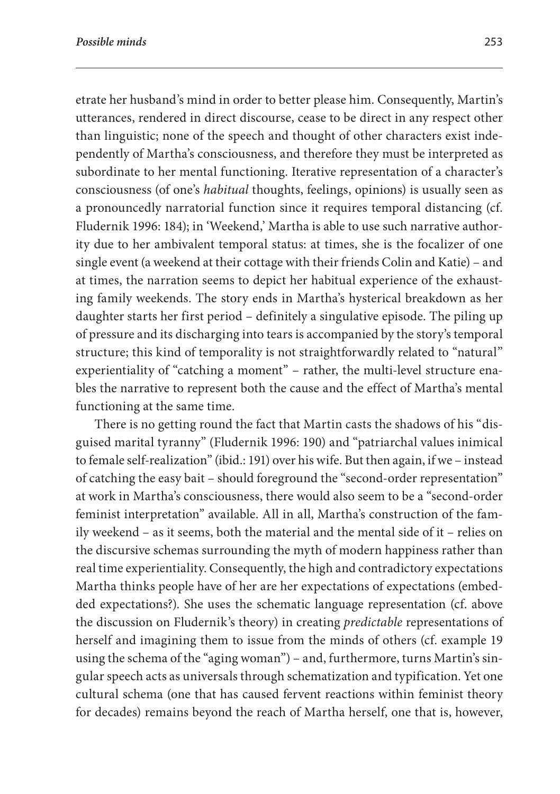etrate her husband's mind in order to better please him. Consequently, Martin's utterances, rendered in direct discourse, cease to be direct in any respect other than linguistic; none of the speech and thought of other characters exist independently of Martha's consciousness, and therefore they must be interpreted as subordinate to her mental functioning. Iterative representation of a character's consciousness (of one's *habitual* thoughts, feelings, opinions) is usually seen as a pronouncedly narratorial function since it requires temporal distancing (cf. Fludernik 1996: 184); in 'Weekend,' Martha is able to use such narrative authority due to her ambivalent temporal status: at times, she is the focalizer of one single event (a weekend at their cottage with their friends Colin and Katie) – and at times, the narration seems to depict her habitual experience of the exhausting family weekends. The story ends in Martha's hysterical breakdown as her daughter starts her first period – definitely a singulative episode. The piling up of pressure and its discharging into tears is accompanied by the story's temporal structure; this kind of temporality is not straightforwardly related to "natural" experientiality of "catching a moment" – rather, the multi-level structure enables the narrative to represent both the cause and the effect of Martha's mental functioning at the same time.

There is no getting round the fact that Martin casts the shadows of his "disguised marital tyranny" (Fludernik 1996: 190) and "patriarchal values inimical to female self-realization" (ibid.: 191) over his wife. But then again, if we – instead of catching the easy bait – should foreground the "second-order representation" at work in Martha's consciousness, there would also seem to be a "second-order feminist interpretation" available. All in all, Martha's construction of the family weekend – as it seems, both the material and the mental side of it – relies on the discursive schemas surrounding the myth of modern happiness rather than real time experientiality. Consequently, the high and contradictory expectations Martha thinks people have of her are her expectations of expectations (embedded expectations?). She uses the schematic language representation (cf. above the discussion on Fludernik's theory) in creating *predictable* representations of herself and imagining them to issue from the minds of others (cf. example 19 using the schema of the "aging woman") – and, furthermore, turns Martin's singular speech acts as universals through schematization and typification. Yet one cultural schema (one that has caused fervent reactions within feminist theory for decades) remains beyond the reach of Martha herself, one that is, however,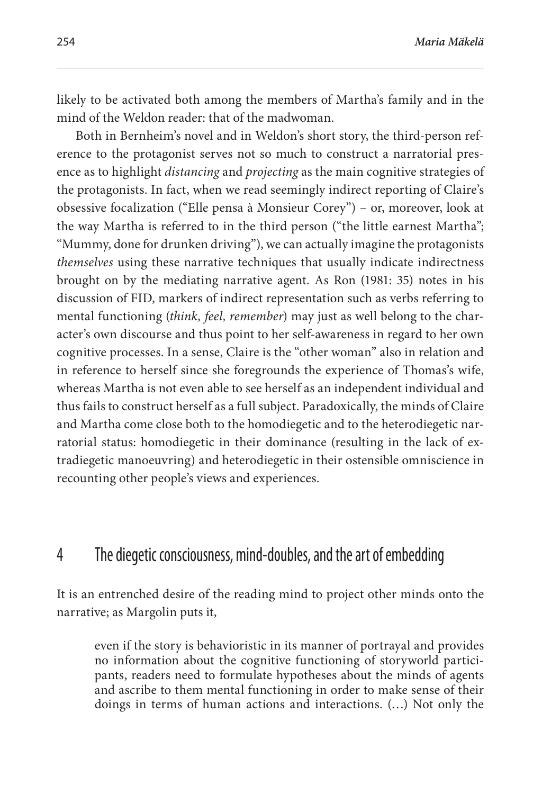likely to be activated both among the members of Martha's family and in the mind of the Weldon reader: that of the madwoman.

Both in Bernheim's novel and in Weldon's short story, the third-person reference to the protagonist serves not so much to construct a narratorial presence as to highlight *distancing* and *projecting* as the main cognitive strategies of the protagonists. In fact, when we read seemingly indirect reporting of Claire's obsessive focalization ("Elle pensa à Monsieur Corey") – or, moreover, look at the way Martha is referred to in the third person ("the little earnest Martha"; "Mummy, done for drunken driving"), we can actually imagine the protagonists *themselves* using these narrative techniques that usually indicate indirectness brought on by the mediating narrative agent. As Ron (1981: 35) notes in his discussion of FID, markers of indirect representation such as verbs referring to mental functioning (*think, feel, remember*) may just as well belong to the character's own discourse and thus point to her self-awareness in regard to her own cognitive processes. In a sense, Claire is the "other woman" also in relation and in reference to herself since she foregrounds the experience of Thomas's wife, whereas Martha is not even able to see herself as an independent individual and thus fails to construct herself as a full subject. Paradoxically, the minds of Claire and Martha come close both to the homodiegetic and to the heterodiegetic narratorial status: homodiegetic in their dominance (resulting in the lack of extradiegetic manoeuvring) and heterodiegetic in their ostensible omniscience in recounting other people's views and experiences.

#### 4 The diegetic consciousness, mind-doubles, and the art of embedding

It is an entrenched desire of the reading mind to project other minds onto the narrative; as Margolin puts it,

even if the story is behavioristic in its manner of portrayal and provides no information about the cognitive functioning of storyworld participants, readers need to formulate hypotheses about the minds of agents and ascribe to them mental functioning in order to make sense of their doings in terms of human actions and interactions. (…) Not only the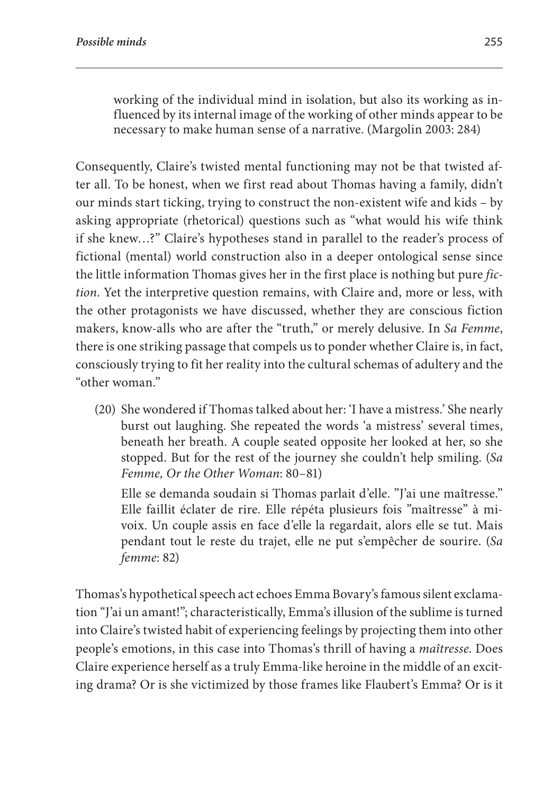working of the individual mind in isolation, but also its working as influenced by its internal image of the working of other minds appear to be necessary to make human sense of a narrative. (Margolin 2003: 284)

Consequently, Claire's twisted mental functioning may not be that twisted after all. To be honest, when we first read about Thomas having a family, didn't our minds start ticking, trying to construct the non-existent wife and kids – by asking appropriate (rhetorical) questions such as "what would his wife think if she knew…?" Claire's hypotheses stand in parallel to the reader's process of fictional (mental) world construction also in a deeper ontological sense since the little information Thomas gives her in the first place is nothing but pure *fiction*. Yet the interpretive question remains, with Claire and, more or less, with the other protagonists we have discussed, whether they are conscious fiction makers, know-alls who are after the "truth," or merely delusive. In *Sa Femme*, there is one striking passage that compels us to ponder whether Claire is, in fact, consciously trying to fit her reality into the cultural schemas of adultery and the "other woman."

(20) She wondered if Thomas talked about her: 'I have a mistress.' She nearly burst out laughing. She repeated the words 'a mistress' several times, beneath her breath. A couple seated opposite her looked at her, so she stopped. But for the rest of the journey she couldn't help smiling. (*Sa Femme, Or the Other Woman*: 80–81)

Elle se demanda soudain si Thomas parlait d'elle. "J'ai une maîtresse." Elle faillit éclater de rire. Elle répéta plusieurs fois "maîtresse" à mivoix. Un couple assis en face d'elle la regardait, alors elle se tut. Mais pendant tout le reste du trajet, elle ne put s'empêcher de sourire. (*Sa femme*: 82)

Thomas's hypothetical speech act echoes Emma Bovary's famous silent exclamation "J'ai un amant!"; characteristically, Emma's illusion of the sublime is turned into Claire's twisted habit of experiencing feelings by projecting them into other people's emotions, in this case into Thomas's thrill of having a *maîtresse*. Does Claire experience herself as a truly Emma-like heroine in the middle of an exciting drama? Or is she victimized by those frames like Flaubert's Emma? Or is it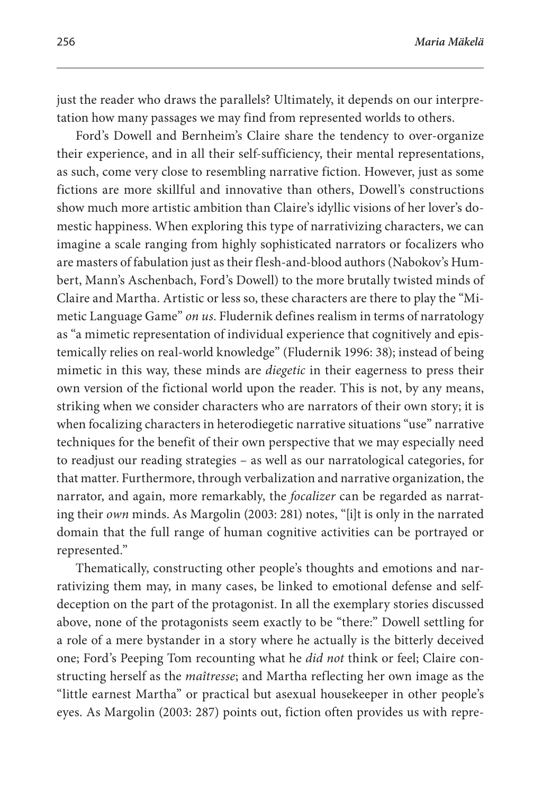just the reader who draws the parallels? Ultimately, it depends on our interpretation how many passages we may find from represented worlds to others.

Ford's Dowell and Bernheim's Claire share the tendency to over-organize their experience, and in all their self-sufficiency, their mental representations, as such, come very close to resembling narrative fiction. However, just as some fictions are more skillful and innovative than others, Dowell's constructions show much more artistic ambition than Claire's idyllic visions of her lover's domestic happiness. When exploring this type of narrativizing characters, we can imagine a scale ranging from highly sophisticated narrators or focalizers who are masters of fabulation just as their flesh-and-blood authors (Nabokov's Humbert, Mann's Aschenbach, Ford's Dowell) to the more brutally twisted minds of Claire and Martha. Artistic or less so, these characters are there to play the "Mimetic Language Game" *on us*. Fludernik defines realism in terms of narratology as "a mimetic representation of individual experience that cognitively and epistemically relies on real-world knowledge" (Fludernik 1996: 38); instead of being mimetic in this way, these minds are *diegetic* in their eagerness to press their own version of the fictional world upon the reader. This is not, by any means, striking when we consider characters who are narrators of their own story; it is when focalizing characters in heterodiegetic narrative situations "use" narrative techniques for the benefit of their own perspective that we may especially need to readjust our reading strategies – as well as our narratological categories, for that matter. Furthermore, through verbalization and narrative organization, the narrator, and again, more remarkably, the *focalizer* can be regarded as narrating their *own* minds. As Margolin (2003: 281) notes, "[i]t is only in the narrated domain that the full range of human cognitive activities can be portrayed or represented."

Thematically, constructing other people's thoughts and emotions and narrativizing them may, in many cases, be linked to emotional defense and selfdeception on the part of the protagonist. In all the exemplary stories discussed above, none of the protagonists seem exactly to be "there:" Dowell settling for a role of a mere bystander in a story where he actually is the bitterly deceived one; Ford's Peeping Tom recounting what he *did not* think or feel; Claire constructing herself as the *maîtresse*; and Martha reflecting her own image as the "little earnest Martha" or practical but asexual housekeeper in other people's eyes. As Margolin (2003: 287) points out, fiction often provides us with repre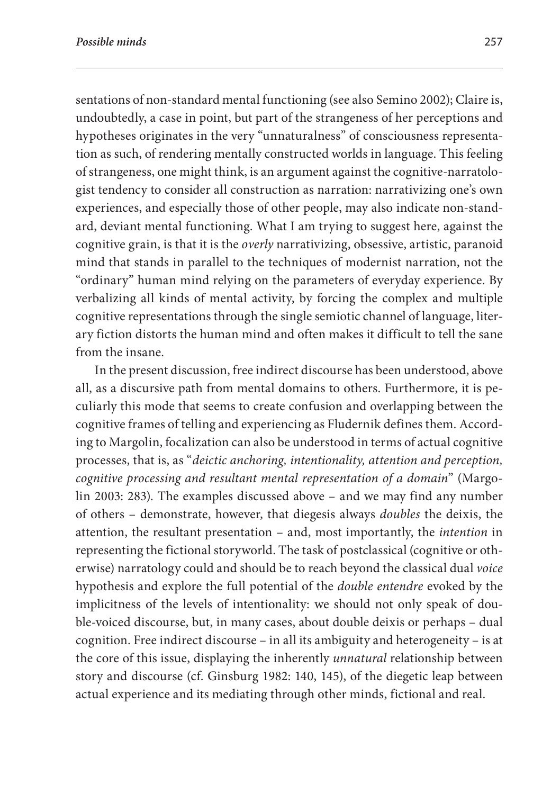sentations of non-standard mental functioning (see also Semino 2002); Claire is, undoubtedly, a case in point, but part of the strangeness of her perceptions and hypotheses originates in the very "unnaturalness" of consciousness representation as such, of rendering mentally constructed worlds in language. This feeling of strangeness, one might think, is an argument against the cognitive-narratologist tendency to consider all construction as narration: narrativizing one's own experiences, and especially those of other people, may also indicate non-standard, deviant mental functioning. What I am trying to suggest here, against the cognitive grain, is that it is the *overly* narrativizing, obsessive, artistic, paranoid mind that stands in parallel to the techniques of modernist narration, not the "ordinary" human mind relying on the parameters of everyday experience. By verbalizing all kinds of mental activity, by forcing the complex and multiple cognitive representations through the single semiotic channel of language, literary fiction distorts the human mind and often makes it difficult to tell the sane from the insane.

In the present discussion, free indirect discourse has been understood, above all, as a discursive path from mental domains to others. Furthermore, it is peculiarly this mode that seems to create confusion and overlapping between the cognitive frames of telling and experiencing as Fludernik defines them. According to Margolin, focalization can also be understood in terms of actual cognitive processes, that is, as "*deictic anchoring, intentionality, attention and perception, cognitive processing and resultant mental representation of a domain*" (Margolin 2003: 283). The examples discussed above – and we may find any number of others – demonstrate, however, that diegesis always *doubles* the deixis, the attention, the resultant presentation – and, most importantly, the *intention* in representing the fictional storyworld. The task of postclassical (cognitive or otherwise) narratology could and should be to reach beyond the classical dual *voice* hypothesis and explore the full potential of the *double entendre* evoked by the implicitness of the levels of intentionality: we should not only speak of double-voiced discourse, but, in many cases, about double deixis or perhaps – dual cognition. Free indirect discourse – in all its ambiguity and heterogeneity – is at the core of this issue, displaying the inherently *unnatural* relationship between story and discourse (cf. Ginsburg 1982: 140, 145), of the diegetic leap between actual experience and its mediating through other minds, fictional and real.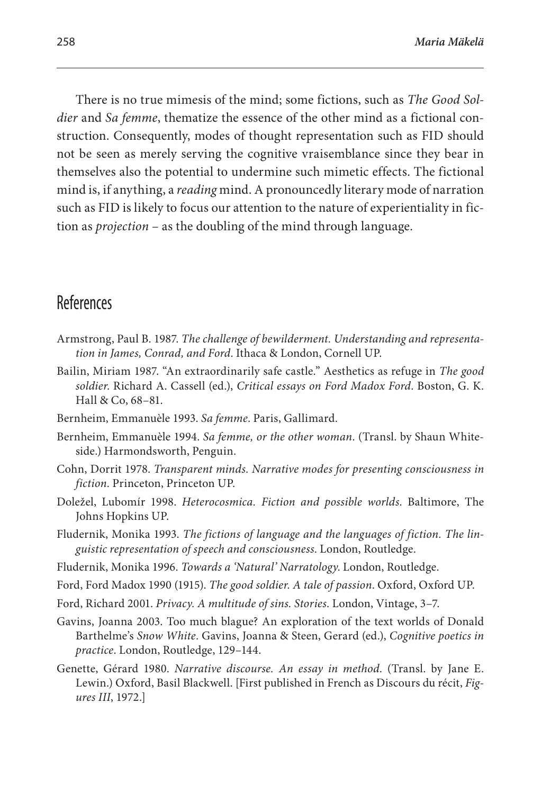There is no true mimesis of the mind; some fictions, such as *The Good Soldier* and *Sa femme*, thematize the essence of the other mind as a fictional construction. Consequently, modes of thought representation such as FID should not be seen as merely serving the cognitive vraisemblance since they bear in themselves also the potential to undermine such mimetic effects. The fictional mind is, if anything, a *reading* mind. A pronouncedly literary mode of narration such as FID is likely to focus our attention to the nature of experientiality in fiction as *projection* – as the doubling of the mind through language.

### References

- Armstrong, Paul B. 1987. *The challenge of bewilderment. Understanding and representation in James, Conrad, and Ford*. Ithaca & London, Cornell UP.
- Bailin, Miriam 1987. "An extraordinarily safe castle." Aesthetics as refuge in *The good soldier*. Richard A. Cassell (ed.), *Critical essays on Ford Madox Ford*. Boston, G. K. Hall & Co, 68–81.
- Bernheim, Emmanuèle 1993. *Sa femme*. Paris, Gallimard.
- Bernheim, Emmanuèle 1994. *Sa femme, or the other woman*. (Transl. by Shaun Whiteside.) Harmondsworth, Penguin.
- Cohn, Dorrit 1978. *Transparent minds. Narrative modes for presenting consciousness in fiction*. Princeton, Princeton UP.
- Doležel, Lubomír 1998. *Heterocosmica. Fiction and possible worlds*. Baltimore, The Johns Hopkins UP.
- Fludernik, Monika 1993. *The fictions of language and the languages of fiction. The linguistic representation of speech and consciousness*. London, Routledge.
- Fludernik, Monika 1996. *Towards a 'Natural' Narratology*. London, Routledge.
- Ford, Ford Madox 1990 (1915). *The good soldier. A tale of passion*. Oxford, Oxford UP.
- Ford, Richard 2001. *Privacy. A multitude of sins. Stories*. London, Vintage, 3–7.
- Gavins, Joanna 2003. Too much blague? An exploration of the text worlds of Donald Barthelme's *Snow White*. Gavins, Joanna & Steen, Gerard (ed.), *Cognitive poetics in practice*. London, Routledge, 129–144.
- Genette, Gérard 1980. *Narrative discourse. An essay in method*. (Transl. by Jane E. Lewin.) Oxford, Basil Blackwell. [First published in French as Discours du récit, *Figures III*, 1972.]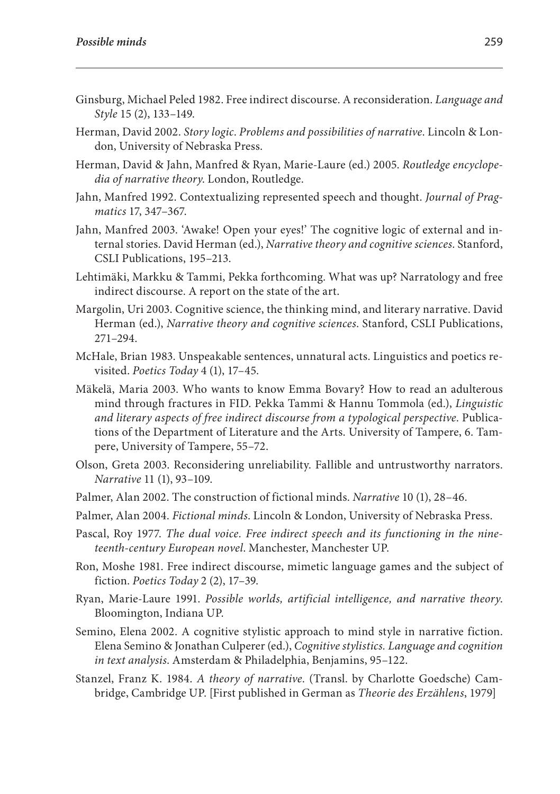- Ginsburg, Michael Peled 1982. Free indirect discourse. A reconsideration. *Language and Style* 15 (2), 133–149.
- Herman, David 2002. *Story logic*. *Problems and possibilities of narrative*. Lincoln & London, University of Nebraska Press.
- Herman, David & Jahn, Manfred & Ryan, Marie-Laure (ed.) 2005. *Routledge encyclopedia of narrative theory*. London, Routledge.
- Jahn, Manfred 1992. Contextualizing represented speech and thought. *Journal of Pragmatics* 17, 347–367.
- Jahn, Manfred 2003. 'Awake! Open your eyes!' The cognitive logic of external and internal stories. David Herman (ed.), *Narrative theory and cognitive sciences*. Stanford, CSLI Publications, 195–213.
- Lehtimäki, Markku & Tammi, Pekka forthcoming. What was up? Narratology and free indirect discourse. A report on the state of the art.
- Margolin, Uri 2003. Cognitive science, the thinking mind, and literary narrative. David Herman (ed.), *Narrative theory and cognitive sciences*. Stanford, CSLI Publications, 271–294.
- McHale, Brian 1983. Unspeakable sentences, unnatural acts. Linguistics and poetics revisited. *Poetics Today* 4 (1), 17–45.
- Mäkelä, Maria 2003. Who wants to know Emma Bovary? How to read an adulterous mind through fractures in FID. Pekka Tammi & Hannu Tommola (ed.), *Linguistic and literary aspects of free indirect discourse from a typological perspective*. Publications of the Department of Literature and the Arts. University of Tampere, 6. Tampere, University of Tampere, 55–72.
- Olson, Greta 2003. Reconsidering unreliability. Fallible and untrustworthy narrators. *Narrative* 11 (1), 93–109.
- Palmer, Alan 2002. The construction of fictional minds. *Narrative* 10 (1), 28–46.
- Palmer, Alan 2004. *Fictional minds*. Lincoln & London, University of Nebraska Press.
- Pascal, Roy 1977. *The dual voice. Free indirect speech and its functioning in the nineteenth-century European novel*. Manchester, Manchester UP.
- Ron, Moshe 1981. Free indirect discourse, mimetic language games and the subject of fiction. *Poetics Today* 2 (2), 17–39.
- Ryan, Marie-Laure 1991. *Possible worlds, artificial intelligence, and narrative theory*. Bloomington, Indiana UP.
- Semino, Elena 2002. A cognitive stylistic approach to mind style in narrative fiction. Elena Semino & Jonathan Culperer (ed.), *Cognitive stylistics. Language and cognition in text analysis*. Amsterdam & Philadelphia, Benjamins, 95–122.
- Stanzel, Franz K. 1984. *A theory of narrative*. (Transl. by Charlotte Goedsche) Cambridge, Cambridge UP. [First published in German as *Theorie des Erzählens*, 1979]